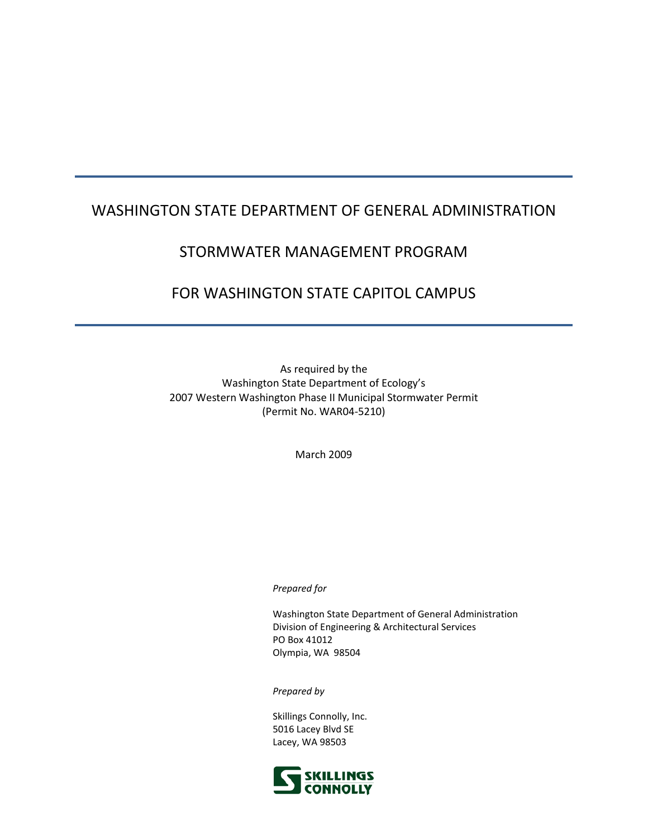# WASHINGTON STATE DEPARTMENT OF GENERAL ADMINISTRATION

# STORMWATER MANAGEMENT PROGRAM

# FOR WASHINGTON STATE CAPITOL CAMPUS

As required by the Washington State Department of Ecology's 2007 Western Washington Phase II Municipal Stormwater Permit (Permit No. WAR04-5210)

March 2009

#### *Prepared for*

Washington State Department of General Administration Division of Engineering & Architectural Services PO Box 41012 Olympia, WA 98504

*Prepared by* 

Skillings Connolly, Inc. 5016 Lacey Blvd SE Lacey, WA 98503

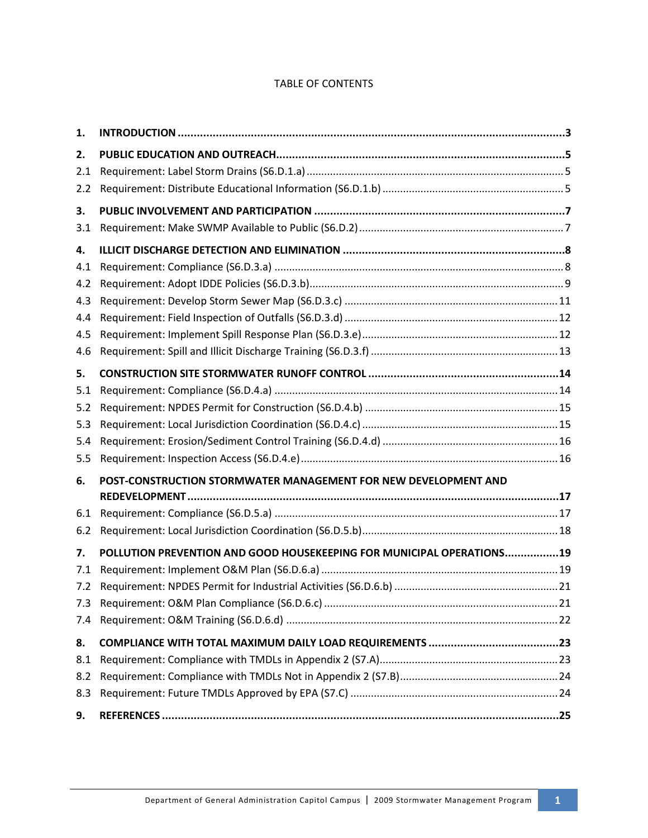# TABLE OF CONTENTS

| 1.  |                                                                       |
|-----|-----------------------------------------------------------------------|
| 2.  |                                                                       |
| 2.1 |                                                                       |
| 2.2 |                                                                       |
| 3.  |                                                                       |
| 3.1 |                                                                       |
| 4.  |                                                                       |
| 4.1 |                                                                       |
| 4.2 |                                                                       |
| 4.3 |                                                                       |
| 4.4 |                                                                       |
| 4.5 |                                                                       |
| 4.6 |                                                                       |
| 5.  |                                                                       |
| 5.1 |                                                                       |
| 5.2 |                                                                       |
| 5.3 |                                                                       |
| 5.4 |                                                                       |
| 5.5 |                                                                       |
| 6.  | POST-CONSTRUCTION STORMWATER MANAGEMENT FOR NEW DEVELOPMENT AND       |
|     |                                                                       |
| 6.1 |                                                                       |
| 6.2 |                                                                       |
| 7.  | POLLUTION PREVENTION AND GOOD HOUSEKEEPING FOR MUNICIPAL OPERATIONS19 |
| 7.1 |                                                                       |
| 7.2 |                                                                       |
| 7.3 |                                                                       |
| 7.4 |                                                                       |
| 8.  |                                                                       |
| 8.1 |                                                                       |
| 8.2 |                                                                       |
| 8.3 |                                                                       |
| 9.  |                                                                       |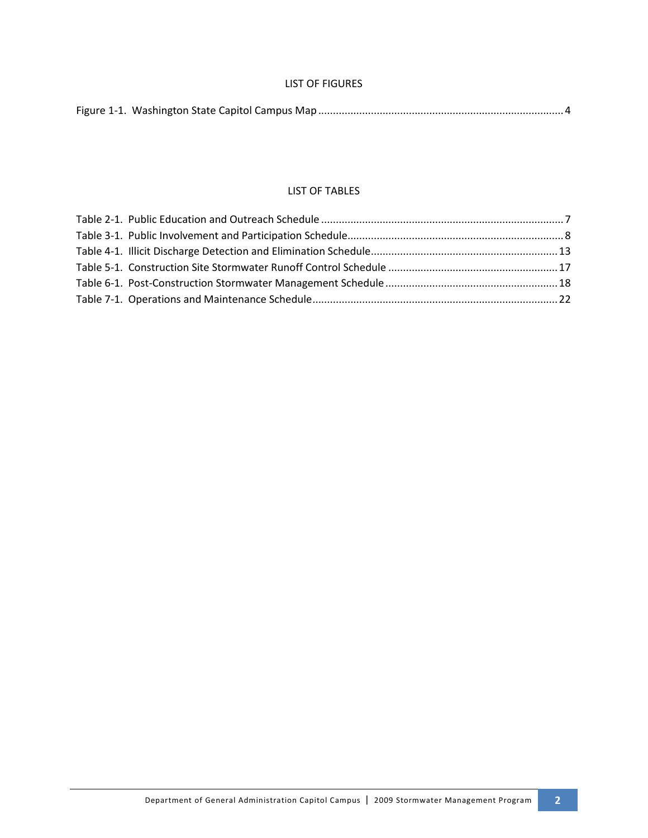### LIST OF FIGURES

|--|

#### LIST OF TABLES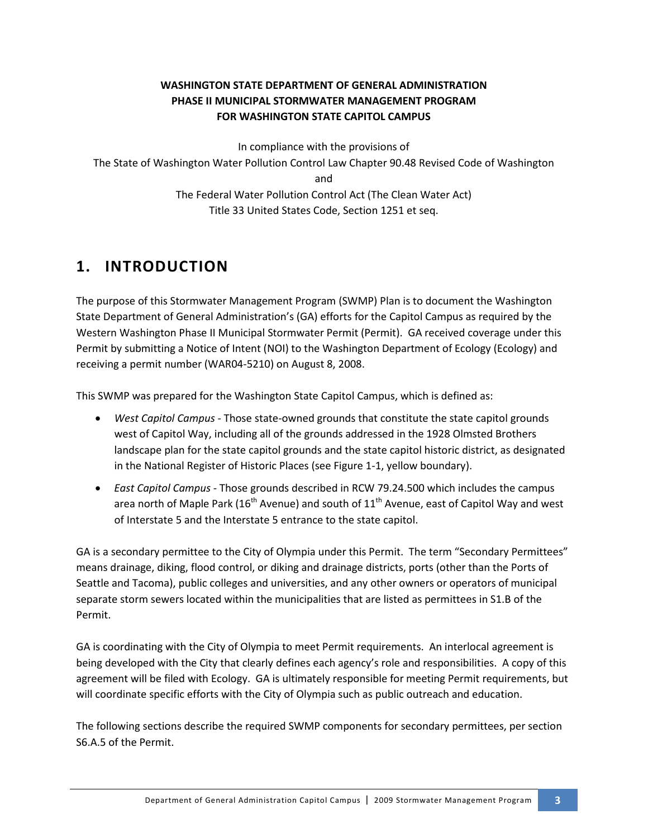# **WASHINGTON STATE DEPARTMENT OF GENERAL ADMINISTRATION PHASE II MUNICIPAL STORMWATER MANAGEMENT PROGRAM FOR WASHINGTON STATE CAPITOL CAMPUS**

In compliance with the provisions of The State of Washington Water Pollution Control Law Chapter 90.48 Revised Code of Washington and The Federal Water Pollution Control Act (The Clean Water Act) Title 33 United States Code, Section 1251 et seq.

# **1. INTRODUCTION**

The purpose of this Stormwater Management Program (SWMP) Plan is to document the Washington State Department of General Administration's (GA) efforts for the Capitol Campus as required by the Western Washington Phase II Municipal Stormwater Permit (Permit). GA received coverage under this Permit by submitting a Notice of Intent (NOI) to the Washington Department of Ecology (Ecology) and receiving a permit number (WAR04-5210) on August 8, 2008.

This SWMP was prepared for the Washington State Capitol Campus, which is defined as:

- *West Capitol Campus* Those state-owned grounds that constitute the state capitol grounds west of Capitol Way, including all of the grounds addressed in the 1928 Olmsted Brothers landscape plan for the state capitol grounds and the state capitol historic district, as designated in the National Register of Historic Places (see Figure 1-1, yellow boundary).
- *East Capitol Campus* Those grounds described in RCW 79.24.500 which includes the campus area north of Maple Park (16<sup>th</sup> Avenue) and south of  $11<sup>th</sup>$  Avenue, east of Capitol Way and west of Interstate 5 and the Interstate 5 entrance to the state capitol.

GA is a secondary permittee to the City of Olympia under this Permit. The term "Secondary Permittees" means drainage, diking, flood control, or diking and drainage districts, ports (other than the Ports of Seattle and Tacoma), public colleges and universities, and any other owners or operators of municipal separate storm sewers located within the municipalities that are listed as permittees in S1.B of the Permit.

GA is coordinating with the City of Olympia to meet Permit requirements. An interlocal agreement is being developed with the City that clearly defines each agency's role and responsibilities. A copy of this agreement will be filed with Ecology. GA is ultimately responsible for meeting Permit requirements, but will coordinate specific efforts with the City of Olympia such as public outreach and education.

The following sections describe the required SWMP components for secondary permittees, per section S6.A.5 of the Permit.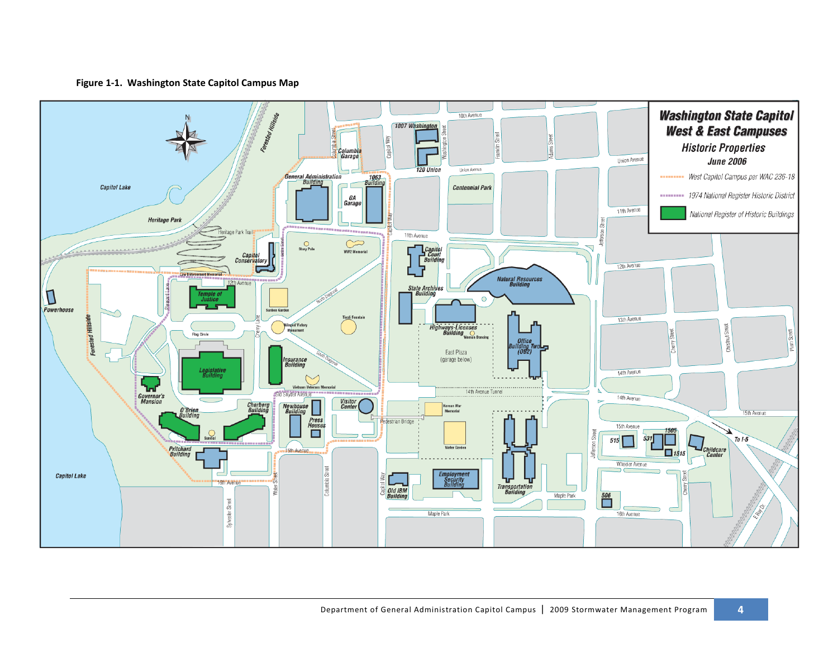**Figure 1-1. Washington State Capitol Campus Map**

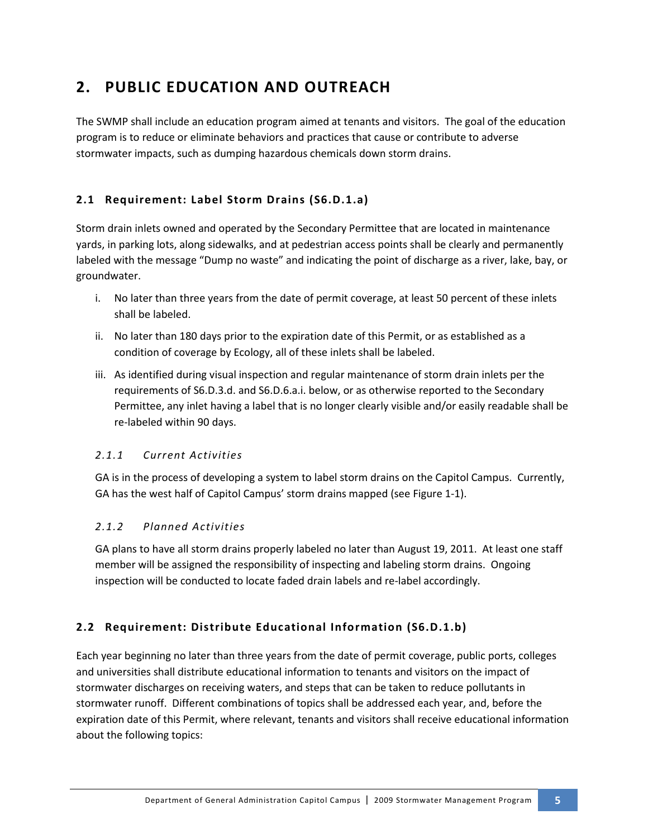# **2. PUBLIC EDUCATION AND OUTREACH**

The SWMP shall include an education program aimed at tenants and visitors. The goal of the education program is to reduce or eliminate behaviors and practices that cause or contribute to adverse stormwater impacts, such as dumping hazardous chemicals down storm drains.

# **2.1 Requirement: Label Storm Drains (S6.D.1.a)**

Storm drain inlets owned and operated by the Secondary Permittee that are located in maintenance yards, in parking lots, along sidewalks, and at pedestrian access points shall be clearly and permanently labeled with the message "Dump no waste" and indicating the point of discharge as a river, lake, bay, or groundwater.

- i. No later than three years from the date of permit coverage, at least 50 percent of these inlets shall be labeled.
- ii. No later than 180 days prior to the expiration date of this Permit, or as established as a condition of coverage by Ecology, all of these inlets shall be labeled.
- iii. As identified during visual inspection and regular maintenance of storm drain inlets per the requirements of S6.D.3.d. and S6.D.6.a.i. below, or as otherwise reported to the Secondary Permittee, any inlet having a label that is no longer clearly visible and/or easily readable shall be re-labeled within 90 days.

# *2.1.1 Current Activities*

GA is in the process of developing a system to label storm drains on the Capitol Campus. Currently, GA has the west half of Capitol Campus' storm drains mapped (see Figure 1-1).

# *2.1.2 Planned Activities*

GA plans to have all storm drains properly labeled no later than August 19, 2011. At least one staff member will be assigned the responsibility of inspecting and labeling storm drains. Ongoing inspection will be conducted to locate faded drain labels and re-label accordingly.

# **2.2 Requirement: Distribute Educational Information (S6.D.1.b)**

Each year beginning no later than three years from the date of permit coverage, public ports, colleges and universities shall distribute educational information to tenants and visitors on the impact of stormwater discharges on receiving waters, and steps that can be taken to reduce pollutants in stormwater runoff. Different combinations of topics shall be addressed each year, and, before the expiration date of this Permit, where relevant, tenants and visitors shall receive educational information about the following topics: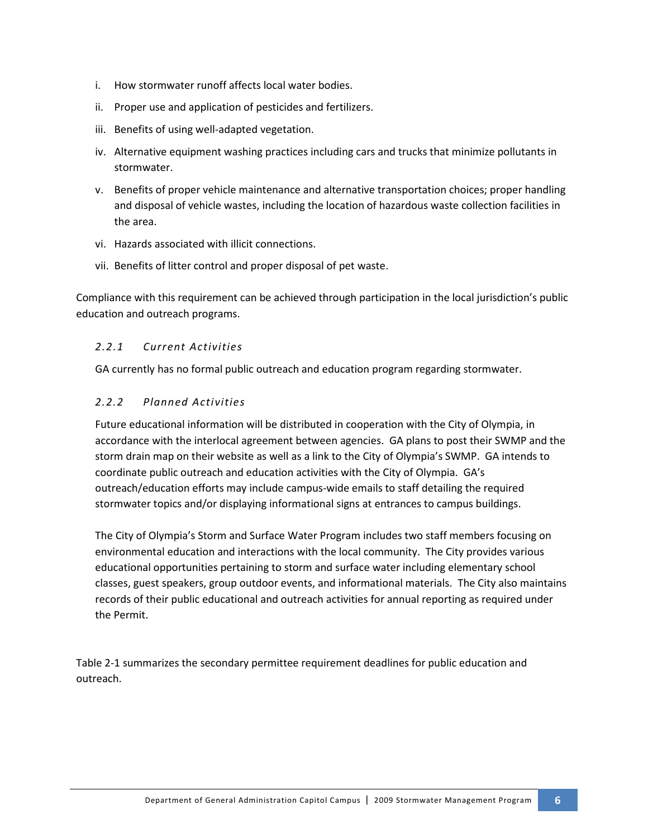- i. How stormwater runoff affects local water bodies.
- ii. Proper use and application of pesticides and fertilizers.
- iii. Benefits of using well-adapted vegetation.
- iv. Alternative equipment washing practices including cars and trucks that minimize pollutants in stormwater.
- v. Benefits of proper vehicle maintenance and alternative transportation choices; proper handling and disposal of vehicle wastes, including the location of hazardous waste collection facilities in the area.
- vi. Hazards associated with illicit connections.
- vii. Benefits of litter control and proper disposal of pet waste.

Compliance with this requirement can be achieved through participation in the local jurisdiction's public education and outreach programs.

# *2.2.1 Current Activities*

GA currently has no formal public outreach and education program regarding stormwater.

# *2.2.2 Planned Activities*

Future educational information will be distributed in cooperation with the City of Olympia, in accordance with the interlocal agreement between agencies. GA plans to post their SWMP and the storm drain map on their website as well as a link to the City of Olympia's SWMP. GA intends to coordinate public outreach and education activities with the City of Olympia. GA's outreach/education efforts may include campus-wide emails to staff detailing the required stormwater topics and/or displaying informational signs at entrances to campus buildings.

The City of Olympia's Storm and Surface Water Program includes two staff members focusing on environmental education and interactions with the local community. The City provides various educational opportunities pertaining to storm and surface water including elementary school classes, guest speakers, group outdoor events, and informational materials. The City also maintains records of their public educational and outreach activities for annual reporting as required under the Permit.

Table 2-1 summarizes the secondary permittee requirement deadlines for public education and outreach.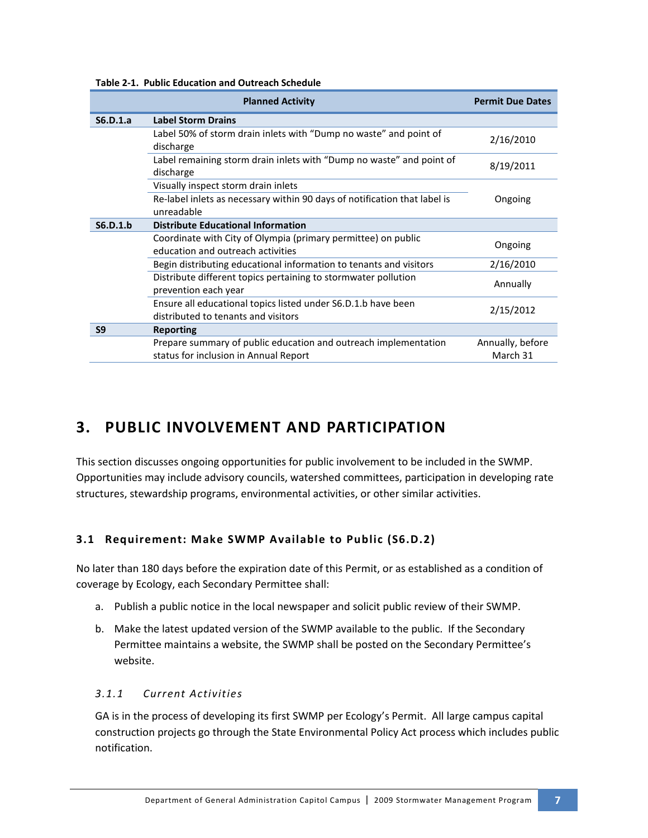|  | <b>Table 2-1. Public Education and Outreach Schedule</b> |  |  |
|--|----------------------------------------------------------|--|--|
|--|----------------------------------------------------------|--|--|

|                | <b>Planned Activity</b>                                                                                                        | <b>Permit Due Dates</b>      |
|----------------|--------------------------------------------------------------------------------------------------------------------------------|------------------------------|
| S6.D.1.a       | <b>Label Storm Drains</b>                                                                                                      |                              |
|                | Label 50% of storm drain inlets with "Dump no waste" and point of<br>discharge                                                 | 2/16/2010                    |
|                | Label remaining storm drain inlets with "Dump no waste" and point of<br>discharge                                              | 8/19/2011                    |
|                | Visually inspect storm drain inlets<br>Re-label inlets as necessary within 90 days of notification that label is<br>unreadable | Ongoing                      |
| S6.D.1.b       | <b>Distribute Educational Information</b>                                                                                      |                              |
|                | Coordinate with City of Olympia (primary permittee) on public<br>education and outreach activities                             | Ongoing                      |
|                | Begin distributing educational information to tenants and visitors                                                             | 2/16/2010                    |
|                | Distribute different topics pertaining to stormwater pollution<br>prevention each year                                         | Annually                     |
|                | Ensure all educational topics listed under S6.D.1.b have been<br>distributed to tenants and visitors                           | 2/15/2012                    |
| S <sub>9</sub> | <b>Reporting</b>                                                                                                               |                              |
|                | Prepare summary of public education and outreach implementation<br>status for inclusion in Annual Report                       | Annually, before<br>March 31 |

# **3. PUBLIC INVOLVEMENT AND PARTICIPATION**

This section discusses ongoing opportunities for public involvement to be included in the SWMP. Opportunities may include advisory councils, watershed committees, participation in developing rate structures, stewardship programs, environmental activities, or other similar activities.

# **3.1 Requirement: Make SWMP Available to Public (S6.D.2)**

No later than 180 days before the expiration date of this Permit, or as established as a condition of coverage by Ecology, each Secondary Permittee shall:

- a. Publish a public notice in the local newspaper and solicit public review of their SWMP.
- b. Make the latest updated version of the SWMP available to the public. If the Secondary Permittee maintains a website, the SWMP shall be posted on the Secondary Permittee's website.

### *3.1.1 Current Activities*

GA is in the process of developing its first SWMP per Ecology's Permit. All large campus capital construction projects go through the State Environmental Policy Act process which includes public notification.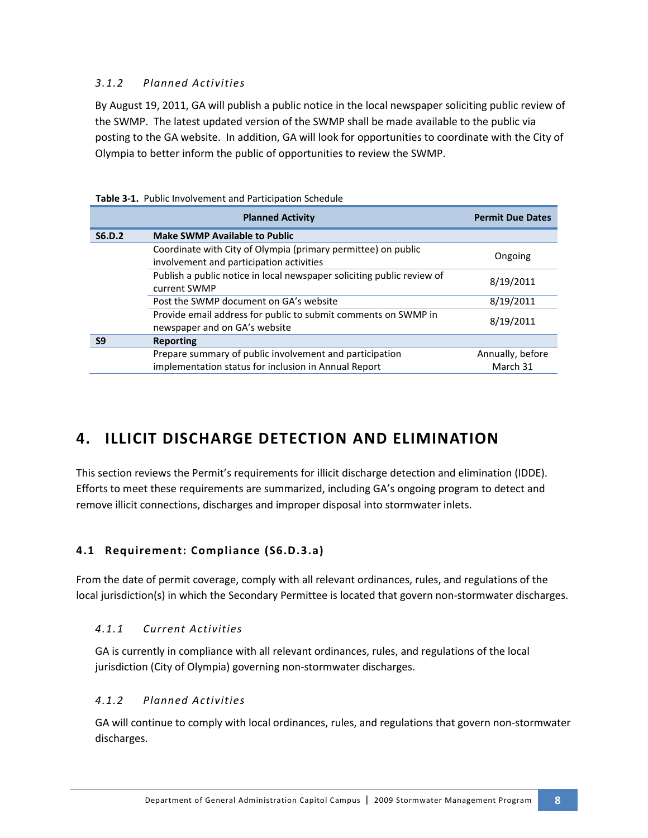# *3.1.2 Planned Activities*

By August 19, 2011, GA will publish a public notice in the local newspaper soliciting public review of the SWMP. The latest updated version of the SWMP shall be made available to the public via posting to the GA website. In addition, GA will look for opportunities to coordinate with the City of Olympia to better inform the public of opportunities to review the SWMP.

|                | <b>Planned Activity</b>                                                                                         | <b>Permit Due Dates</b>      |
|----------------|-----------------------------------------------------------------------------------------------------------------|------------------------------|
| <b>S6.D.2</b>  | <b>Make SWMP Available to Public</b>                                                                            |                              |
|                | Coordinate with City of Olympia (primary permittee) on public<br>involvement and participation activities       | Ongoing                      |
|                | Publish a public notice in local newspaper soliciting public review of<br>current SWMP                          | 8/19/2011                    |
|                | Post the SWMP document on GA's website                                                                          | 8/19/2011                    |
|                | Provide email address for public to submit comments on SWMP in<br>newspaper and on GA's website                 | 8/19/2011                    |
| S <sub>9</sub> | Reporting                                                                                                       |                              |
|                | Prepare summary of public involvement and participation<br>implementation status for inclusion in Annual Report | Annually, before<br>March 31 |

| Table 3-1. Public Involvement and Participation Schedule |
|----------------------------------------------------------|
|----------------------------------------------------------|

# **4. ILLICIT DISCHARGE DETECTION AND ELIMINATION**

This section reviews the Permit's requirements for illicit discharge detection and elimination (IDDE). Efforts to meet these requirements are summarized, including GA's ongoing program to detect and remove illicit connections, discharges and improper disposal into stormwater inlets.

# **4.1 Requirement: Compliance (S6.D.3.a)**

From the date of permit coverage, comply with all relevant ordinances, rules, and regulations of the local jurisdiction(s) in which the Secondary Permittee is located that govern non-stormwater discharges.

### *4.1.1 Current Activities*

GA is currently in compliance with all relevant ordinances, rules, and regulations of the local jurisdiction (City of Olympia) governing non-stormwater discharges.

# *4.1.2 Planned Activities*

GA will continue to comply with local ordinances, rules, and regulations that govern non-stormwater discharges.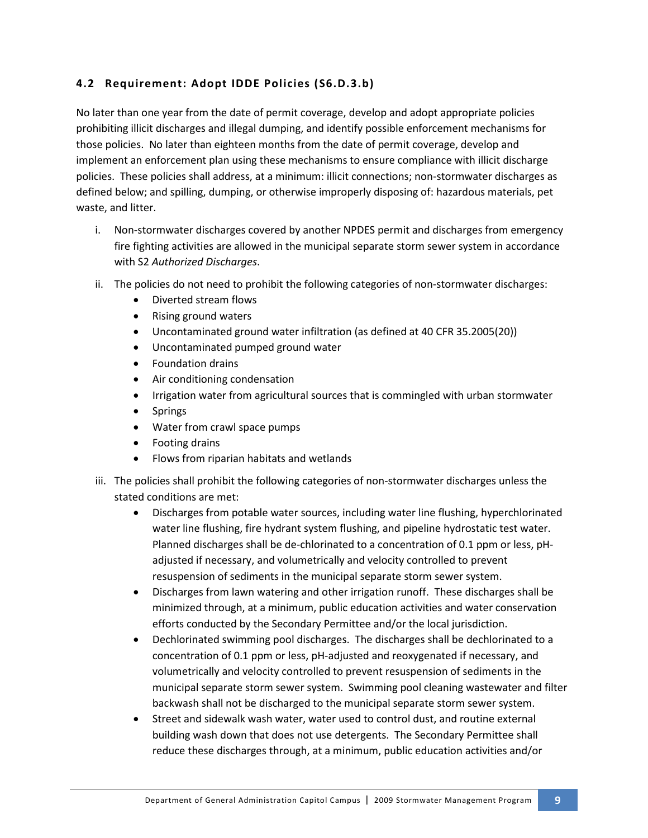# **4.2 Requirement: Adopt IDDE Policies (S6.D.3.b)**

No later than one year from the date of permit coverage, develop and adopt appropriate policies prohibiting illicit discharges and illegal dumping, and identify possible enforcement mechanisms for those policies. No later than eighteen months from the date of permit coverage, develop and implement an enforcement plan using these mechanisms to ensure compliance with illicit discharge policies. These policies shall address, at a minimum: illicit connections; non-stormwater discharges as defined below; and spilling, dumping, or otherwise improperly disposing of: hazardous materials, pet waste, and litter.

- i. Non-stormwater discharges covered by another NPDES permit and discharges from emergency fire fighting activities are allowed in the municipal separate storm sewer system in accordance with S2 *Authorized Discharges*.
- ii. The policies do not need to prohibit the following categories of non-stormwater discharges:
	- Diverted stream flows
	- Rising ground waters
	- Uncontaminated ground water infiltration (as defined at 40 CFR 35.2005(20))
	- Uncontaminated pumped ground water
	- Foundation drains
	- Air conditioning condensation
	- Irrigation water from agricultural sources that is commingled with urban stormwater
	- Springs
	- Water from crawl space pumps
	- Footing drains
	- Flows from riparian habitats and wetlands
- iii. The policies shall prohibit the following categories of non-stormwater discharges unless the stated conditions are met:
	- Discharges from potable water sources, including water line flushing, hyperchlorinated water line flushing, fire hydrant system flushing, and pipeline hydrostatic test water. Planned discharges shall be de-chlorinated to a concentration of 0.1 ppm or less, pHadjusted if necessary, and volumetrically and velocity controlled to prevent resuspension of sediments in the municipal separate storm sewer system.
	- Discharges from lawn watering and other irrigation runoff. These discharges shall be minimized through, at a minimum, public education activities and water conservation efforts conducted by the Secondary Permittee and/or the local jurisdiction.
	- Dechlorinated swimming pool discharges. The discharges shall be dechlorinated to a concentration of 0.1 ppm or less, pH-adjusted and reoxygenated if necessary, and volumetrically and velocity controlled to prevent resuspension of sediments in the municipal separate storm sewer system. Swimming pool cleaning wastewater and filter backwash shall not be discharged to the municipal separate storm sewer system.
	- Street and sidewalk wash water, water used to control dust, and routine external building wash down that does not use detergents. The Secondary Permittee shall reduce these discharges through, at a minimum, public education activities and/or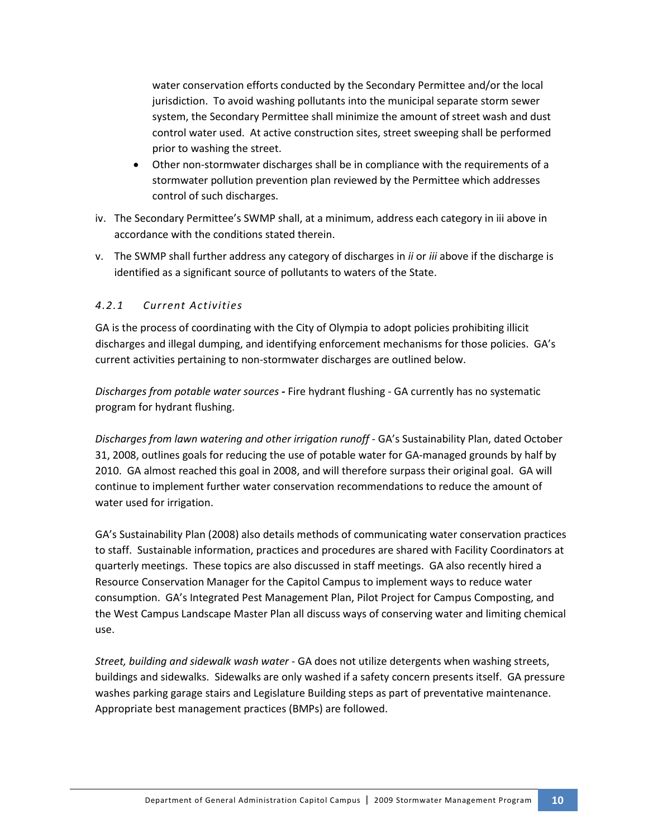water conservation efforts conducted by the Secondary Permittee and/or the local jurisdiction. To avoid washing pollutants into the municipal separate storm sewer system, the Secondary Permittee shall minimize the amount of street wash and dust control water used. At active construction sites, street sweeping shall be performed prior to washing the street.

- Other non-stormwater discharges shall be in compliance with the requirements of a stormwater pollution prevention plan reviewed by the Permittee which addresses control of such discharges.
- iv. The Secondary Permittee's SWMP shall, at a minimum, address each category in iii above in accordance with the conditions stated therein.
- v. The SWMP shall further address any category of discharges in *ii* or *iii* above if the discharge is identified as a significant source of pollutants to waters of the State.

# *4.2.1 Current Activities*

GA is the process of coordinating with the City of Olympia to adopt policies prohibiting illicit discharges and illegal dumping, and identifying enforcement mechanisms for those policies. GA's current activities pertaining to non-stormwater discharges are outlined below.

*Discharges from potable water sources -* Fire hydrant flushing - GA currently has no systematic program for hydrant flushing.

*Discharges from lawn watering and other irrigation runoff -* GA's Sustainability Plan, dated October 31, 2008, outlines goals for reducing the use of potable water for GA-managed grounds by half by 2010. GA almost reached this goal in 2008, and will therefore surpass their original goal. GA will continue to implement further water conservation recommendations to reduce the amount of water used for irrigation.

GA's Sustainability Plan (2008) also details methods of communicating water conservation practices to staff. Sustainable information, practices and procedures are shared with Facility Coordinators at quarterly meetings. These topics are also discussed in staff meetings. GA also recently hired a Resource Conservation Manager for the Capitol Campus to implement ways to reduce water consumption. GA's Integrated Pest Management Plan, Pilot Project for Campus Composting, and the West Campus Landscape Master Plan all discuss ways of conserving water and limiting chemical use.

*Street, building and sidewalk wash water -* GA does not utilize detergents when washing streets, buildings and sidewalks. Sidewalks are only washed if a safety concern presents itself. GA pressure washes parking garage stairs and Legislature Building steps as part of preventative maintenance. Appropriate best management practices (BMPs) are followed.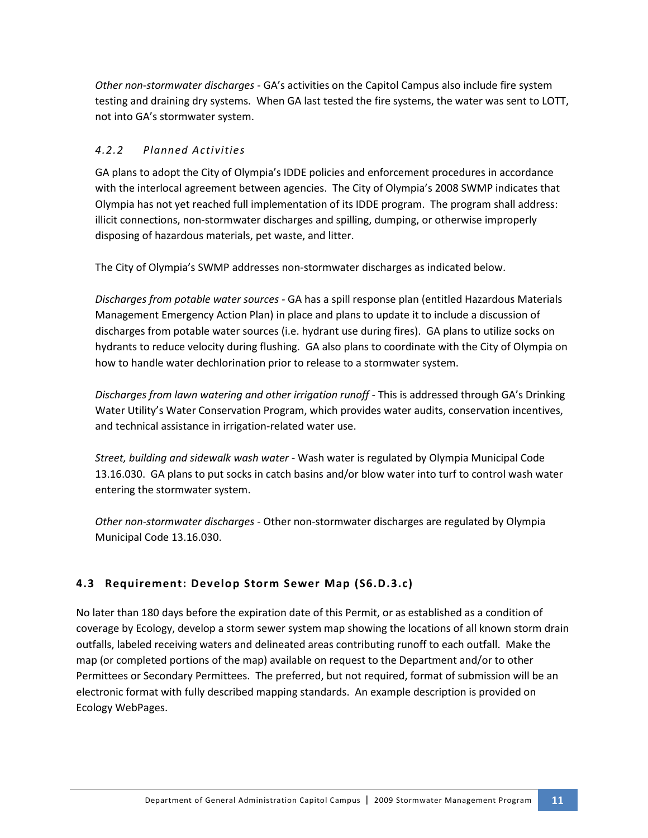*Other non-stormwater discharges -* GA's activities on the Capitol Campus also include fire system testing and draining dry systems. When GA last tested the fire systems, the water was sent to LOTT, not into GA's stormwater system.

# *4.2.2 Planned Activities*

GA plans to adopt the City of Olympia's IDDE policies and enforcement procedures in accordance with the interlocal agreement between agencies. The City of Olympia's 2008 SWMP indicates that Olympia has not yet reached full implementation of its IDDE program. The program shall address: illicit connections, non-stormwater discharges and spilling, dumping, or otherwise improperly disposing of hazardous materials, pet waste, and litter.

The City of Olympia's SWMP addresses non-stormwater discharges as indicated below.

*Discharges from potable water sources -* GA has a spill response plan (entitled Hazardous Materials Management Emergency Action Plan) in place and plans to update it to include a discussion of discharges from potable water sources (i.e. hydrant use during fires). GA plans to utilize socks on hydrants to reduce velocity during flushing. GA also plans to coordinate with the City of Olympia on how to handle water dechlorination prior to release to a stormwater system.

*Discharges from lawn watering and other irrigation runoff -* This is addressed through GA's Drinking Water Utility's Water Conservation Program, which provides water audits, conservation incentives, and technical assistance in irrigation-related water use.

*Street, building and sidewalk wash water -* Wash water is regulated by Olympia Municipal Code 13.16.030. GA plans to put socks in catch basins and/or blow water into turf to control wash water entering the stormwater system.

*Other non-stormwater discharges -* Other non-stormwater discharges are regulated by Olympia Municipal Code 13.16.030.

# **4.3 Requirement: Develop Storm Sewer Map (S6.D.3.c)**

No later than 180 days before the expiration date of this Permit, or as established as a condition of coverage by Ecology, develop a storm sewer system map showing the locations of all known storm drain outfalls, labeled receiving waters and delineated areas contributing runoff to each outfall. Make the map (or completed portions of the map) available on request to the Department and/or to other Permittees or Secondary Permittees. The preferred, but not required, format of submission will be an electronic format with fully described mapping standards. An example description is provided on Ecology WebPages.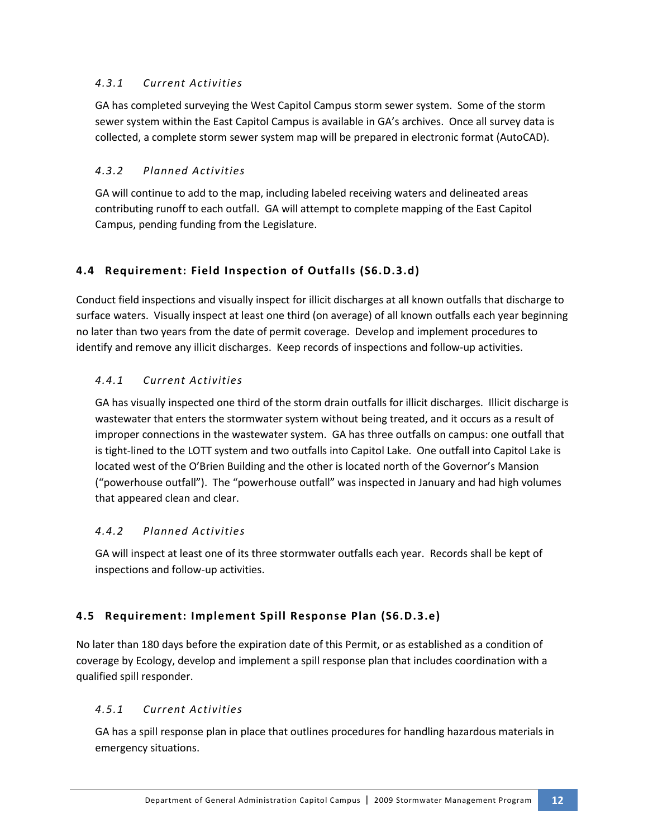# *4.3.1 Current Activities*

GA has completed surveying the West Capitol Campus storm sewer system. Some of the storm sewer system within the East Capitol Campus is available in GA's archives. Once all survey data is collected, a complete storm sewer system map will be prepared in electronic format (AutoCAD).

# *4.3.2 Planned Activities*

GA will continue to add to the map, including labeled receiving waters and delineated areas contributing runoff to each outfall. GA will attempt to complete mapping of the East Capitol Campus, pending funding from the Legislature.

# **4.4 Requirement: Field Inspection of Outfalls (S6.D.3.d)**

Conduct field inspections and visually inspect for illicit discharges at all known outfalls that discharge to surface waters. Visually inspect at least one third (on average) of all known outfalls each year beginning no later than two years from the date of permit coverage. Develop and implement procedures to identify and remove any illicit discharges. Keep records of inspections and follow-up activities.

# *4.4.1 Current Activities*

GA has visually inspected one third of the storm drain outfalls for illicit discharges. Illicit discharge is wastewater that enters the stormwater system without being treated, and it occurs as a result of improper connections in the wastewater system. GA has three outfalls on campus: one outfall that is tight-lined to the LOTT system and two outfalls into Capitol Lake. One outfall into Capitol Lake is located west of the O'Brien Building and the other is located north of the Governor's Mansion ("powerhouse outfall"). The "powerhouse outfall" was inspected in January and had high volumes that appeared clean and clear.

# *4.4.2 Planned Activities*

GA will inspect at least one of its three stormwater outfalls each year. Records shall be kept of inspections and follow-up activities.

# **4.5 Requirement: Implement Spill Response Plan (S6.D.3.e)**

No later than 180 days before the expiration date of this Permit, or as established as a condition of coverage by Ecology, develop and implement a spill response plan that includes coordination with a qualified spill responder.

# *4.5.1 Current Activities*

GA has a spill response plan in place that outlines procedures for handling hazardous materials in emergency situations.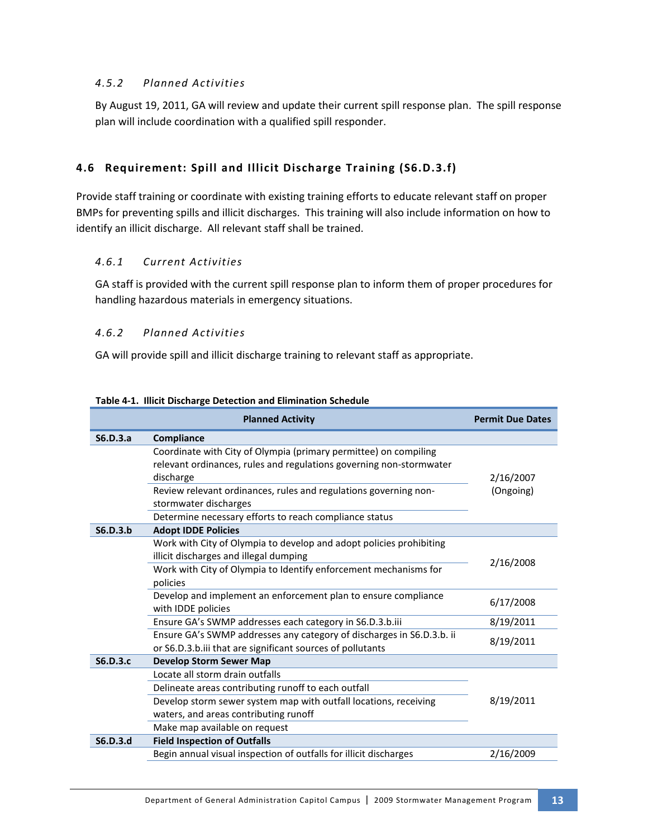### *4.5.2 Planned Activities*

By August 19, 2011, GA will review and update their current spill response plan. The spill response plan will include coordination with a qualified spill responder.

# **4.6 Requirement: Spill and Illicit Discharge Training (S6.D.3.f)**

Provide staff training or coordinate with existing training efforts to educate relevant staff on proper BMPs for preventing spills and illicit discharges. This training will also include information on how to identify an illicit discharge. All relevant staff shall be trained.

### *4.6.1 Current Activities*

GA staff is provided with the current spill response plan to inform them of proper procedures for handling hazardous materials in emergency situations.

### *4.6.2 Planned Activities*

GA will provide spill and illicit discharge training to relevant staff as appropriate.

|                 | <b>Planned Activity</b>                                                                                                                              | <b>Permit Due Dates</b> |
|-----------------|------------------------------------------------------------------------------------------------------------------------------------------------------|-------------------------|
| S6.D.3.a        | Compliance                                                                                                                                           |                         |
|                 | Coordinate with City of Olympia (primary permittee) on compiling<br>relevant ordinances, rules and regulations governing non-stormwater<br>discharge | 2/16/2007               |
|                 | Review relevant ordinances, rules and regulations governing non-<br>stormwater discharges                                                            | (Ongoing)               |
|                 | Determine necessary efforts to reach compliance status                                                                                               |                         |
| S6.D.3.b        | <b>Adopt IDDE Policies</b>                                                                                                                           |                         |
|                 | Work with City of Olympia to develop and adopt policies prohibiting<br>illicit discharges and illegal dumping                                        | 2/16/2008               |
|                 | Work with City of Olympia to Identify enforcement mechanisms for<br>policies                                                                         |                         |
|                 | Develop and implement an enforcement plan to ensure compliance<br>with IDDE policies                                                                 | 6/17/2008               |
|                 | Ensure GA's SWMP addresses each category in S6.D.3.b.iii                                                                                             | 8/19/2011               |
|                 | Ensure GA's SWMP addresses any category of discharges in S6.D.3.b. ii<br>or S6.D.3.b.iii that are significant sources of pollutants                  | 8/19/2011               |
| <b>S6.D.3.c</b> | <b>Develop Storm Sewer Map</b>                                                                                                                       |                         |
|                 | Locate all storm drain outfalls                                                                                                                      |                         |
|                 | Delineate areas contributing runoff to each outfall                                                                                                  | 8/19/2011               |
|                 | Develop storm sewer system map with outfall locations, receiving                                                                                     |                         |
|                 | waters, and areas contributing runoff                                                                                                                |                         |
|                 | Make map available on request                                                                                                                        |                         |
| S6.D.3.d        | <b>Field Inspection of Outfalls</b>                                                                                                                  |                         |
|                 | Begin annual visual inspection of outfalls for illicit discharges                                                                                    | 2/16/2009               |

**Table 4-1. Illicit Discharge Detection and Elimination Schedule**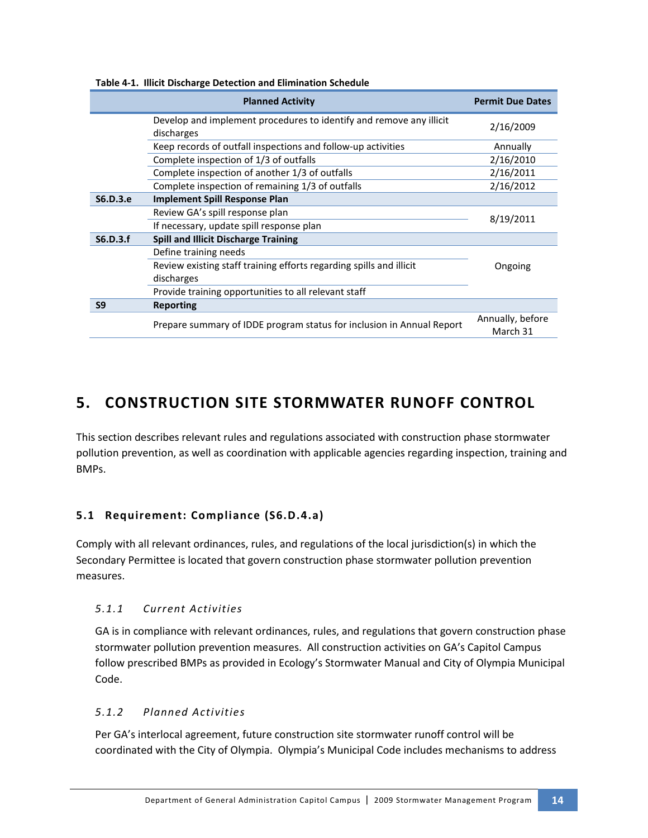|                | <b>Planned Activity</b>                                                           | <b>Permit Due Dates</b>      |
|----------------|-----------------------------------------------------------------------------------|------------------------------|
|                | Develop and implement procedures to identify and remove any illicit<br>discharges | 2/16/2009                    |
|                | Keep records of outfall inspections and follow-up activities                      | Annually                     |
|                | Complete inspection of 1/3 of outfalls                                            | 2/16/2010                    |
|                | Complete inspection of another 1/3 of outfalls                                    | 2/16/2011                    |
|                | Complete inspection of remaining 1/3 of outfalls                                  | 2/16/2012                    |
| S6.D.3.e       | <b>Implement Spill Response Plan</b>                                              |                              |
|                | Review GA's spill response plan                                                   |                              |
|                | If necessary, update spill response plan                                          | 8/19/2011                    |
| S6.D.3.f       | <b>Spill and Illicit Discharge Training</b>                                       |                              |
|                | Define training needs                                                             |                              |
|                | Review existing staff training efforts regarding spills and illicit               | Ongoing                      |
|                | discharges                                                                        |                              |
|                | Provide training opportunities to all relevant staff                              |                              |
| S <sub>9</sub> | <b>Reporting</b>                                                                  |                              |
|                | Prepare summary of IDDE program status for inclusion in Annual Report             | Annually, before<br>March 31 |

#### **Table 4-1. Illicit Discharge Detection and Elimination Schedule**

# **5. CONSTRUCTION SITE STORMWATER RUNOFF CONTROL**

This section describes relevant rules and regulations associated with construction phase stormwater pollution prevention, as well as coordination with applicable agencies regarding inspection, training and BMPs.

# **5.1 Requirement: Compliance (S6.D.4.a)**

Comply with all relevant ordinances, rules, and regulations of the local jurisdiction(s) in which the Secondary Permittee is located that govern construction phase stormwater pollution prevention measures.

# *5.1.1 Current Activities*

GA is in compliance with relevant ordinances, rules, and regulations that govern construction phase stormwater pollution prevention measures. All construction activities on GA's Capitol Campus follow prescribed BMPs as provided in Ecology's Stormwater Manual and City of Olympia Municipal Code.

# *5.1.2 Planned Activities*

Per GA's interlocal agreement, future construction site stormwater runoff control will be coordinated with the City of Olympia. Olympia's Municipal Code includes mechanisms to address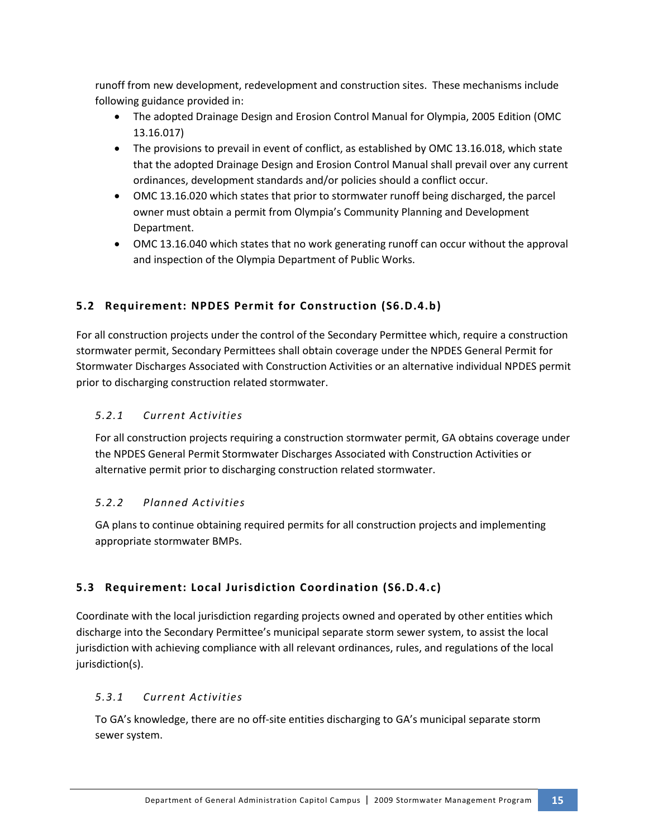runoff from new development, redevelopment and construction sites. These mechanisms include following guidance provided in:

- The adopted Drainage Design and Erosion Control Manual for Olympia, 2005 Edition (OMC 13.16.017)
- The provisions to prevail in event of conflict, as established by OMC 13.16.018, which state that the adopted Drainage Design and Erosion Control Manual shall prevail over any current ordinances, development standards and/or policies should a conflict occur.
- OMC 13.16.020 which states that prior to stormwater runoff being discharged, the parcel owner must obtain a permit from Olympia's Community Planning and Development Department.
- OMC 13.16.040 which states that no work generating runoff can occur without the approval and inspection of the Olympia Department of Public Works.

# **5.2 Requirement: NPDES Permit for Construction (S6.D.4.b)**

For all construction projects under the control of the Secondary Permittee which, require a construction stormwater permit, Secondary Permittees shall obtain coverage under the NPDES General Permit for Stormwater Discharges Associated with Construction Activities or an alternative individual NPDES permit prior to discharging construction related stormwater.

# *5.2.1 Current Activities*

For all construction projects requiring a construction stormwater permit, GA obtains coverage under the NPDES General Permit Stormwater Discharges Associated with Construction Activities or alternative permit prior to discharging construction related stormwater.

# *5.2.2 Planned Activities*

GA plans to continue obtaining required permits for all construction projects and implementing appropriate stormwater BMPs.

# **5.3 Requirement: Local Jurisdiction Coordination (S6.D.4.c)**

Coordinate with the local jurisdiction regarding projects owned and operated by other entities which discharge into the Secondary Permittee's municipal separate storm sewer system, to assist the local jurisdiction with achieving compliance with all relevant ordinances, rules, and regulations of the local jurisdiction(s).

# *5.3.1 Current Activities*

To GA's knowledge, there are no off-site entities discharging to GA's municipal separate storm sewer system.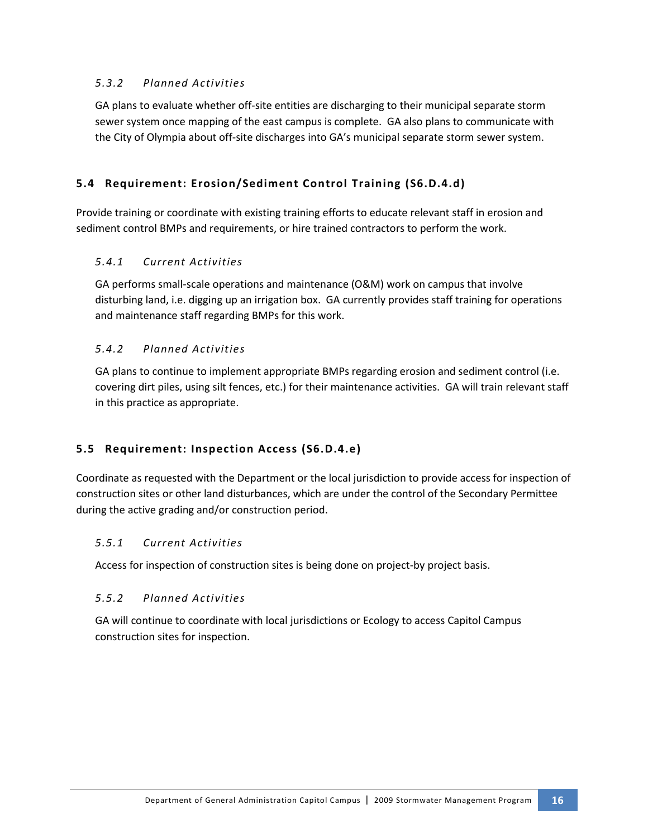### *5.3.2 Planned Activities*

GA plans to evaluate whether off-site entities are discharging to their municipal separate storm sewer system once mapping of the east campus is complete. GA also plans to communicate with the City of Olympia about off-site discharges into GA's municipal separate storm sewer system.

# **5.4 Requirement: Erosion/Sediment Control Training (S6.D.4.d)**

Provide training or coordinate with existing training efforts to educate relevant staff in erosion and sediment control BMPs and requirements, or hire trained contractors to perform the work.

### *5.4.1 Current Activities*

GA performs small-scale operations and maintenance (O&M) work on campus that involve disturbing land, i.e. digging up an irrigation box. GA currently provides staff training for operations and maintenance staff regarding BMPs for this work.

### *5.4.2 Planned Activities*

GA plans to continue to implement appropriate BMPs regarding erosion and sediment control (i.e. covering dirt piles, using silt fences, etc.) for their maintenance activities. GA will train relevant staff in this practice as appropriate.

# **5.5 Requirement: Inspection Access (S6.D.4.e)**

Coordinate as requested with the Department or the local jurisdiction to provide access for inspection of construction sites or other land disturbances, which are under the control of the Secondary Permittee during the active grading and/or construction period.

### *5.5.1 Current Activities*

Access for inspection of construction sites is being done on project-by project basis.

### *5.5.2 Planned Activities*

GA will continue to coordinate with local jurisdictions or Ecology to access Capitol Campus construction sites for inspection.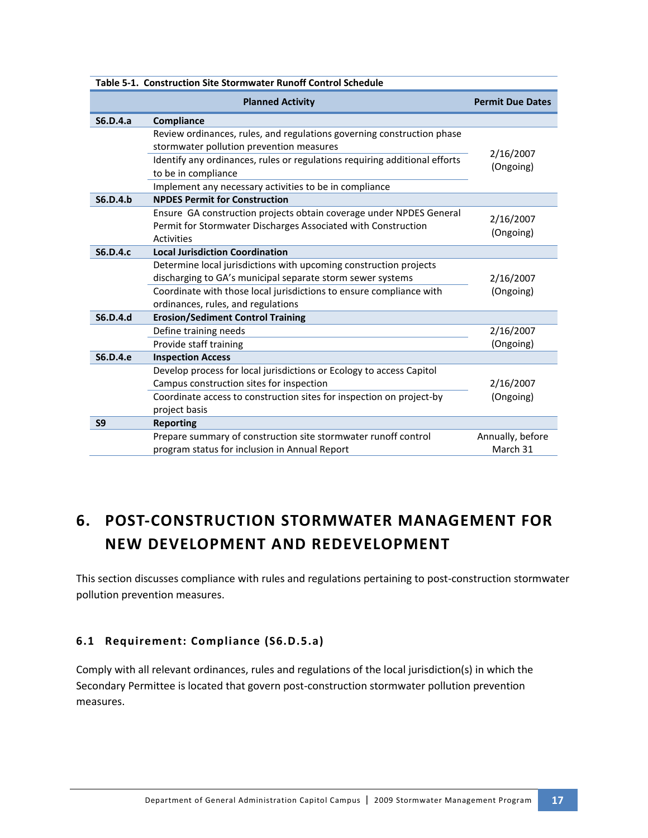|                 | Table 5-1. Construction Site Stormwater Runoff Control Schedule            |                         |
|-----------------|----------------------------------------------------------------------------|-------------------------|
|                 | <b>Planned Activity</b>                                                    | <b>Permit Due Dates</b> |
| S6.D.4.a        | Compliance                                                                 |                         |
|                 | Review ordinances, rules, and regulations governing construction phase     |                         |
|                 | stormwater pollution prevention measures                                   | 2/16/2007               |
|                 | Identify any ordinances, rules or regulations requiring additional efforts | (Ongoing)               |
|                 | to be in compliance                                                        |                         |
|                 | Implement any necessary activities to be in compliance                     |                         |
| S6.D.4.b        | <b>NPDES Permit for Construction</b>                                       |                         |
|                 | Ensure GA construction projects obtain coverage under NPDES General        | 2/16/2007               |
|                 | Permit for Stormwater Discharges Associated with Construction              | (Ongoing)               |
|                 | Activities                                                                 |                         |
| <b>S6.D.4.c</b> | <b>Local Jurisdiction Coordination</b>                                     |                         |
|                 | Determine local jurisdictions with upcoming construction projects          |                         |
|                 | discharging to GA's municipal separate storm sewer systems                 | 2/16/2007               |
|                 | Coordinate with those local jurisdictions to ensure compliance with        | (Ongoing)               |
|                 | ordinances, rules, and regulations                                         |                         |
| <b>S6.D.4.d</b> | <b>Erosion/Sediment Control Training</b>                                   |                         |
|                 | Define training needs                                                      | 2/16/2007               |
|                 | Provide staff training                                                     | (Ongoing)               |
| S6.D.4.e        | <b>Inspection Access</b>                                                   |                         |
|                 | Develop process for local jurisdictions or Ecology to access Capitol       |                         |
|                 | Campus construction sites for inspection                                   | 2/16/2007               |
|                 | Coordinate access to construction sites for inspection on project-by       | (Ongoing)               |
|                 | project basis                                                              |                         |
| S <sub>9</sub>  | <b>Reporting</b>                                                           |                         |
|                 | Prepare summary of construction site stormwater runoff control             | Annually, before        |
|                 | program status for inclusion in Annual Report                              | March 31                |

# **6. POST-CONSTRUCTION STORMWATER MANAGEMENT FOR NEW DEVELOPMENT AND REDEVELOPMENT**

This section discusses compliance with rules and regulations pertaining to post-construction stormwater pollution prevention measures.

# **6.1 Requirement: Compliance (S6.D.5.a)**

Comply with all relevant ordinances, rules and regulations of the local jurisdiction(s) in which the Secondary Permittee is located that govern post-construction stormwater pollution prevention measures.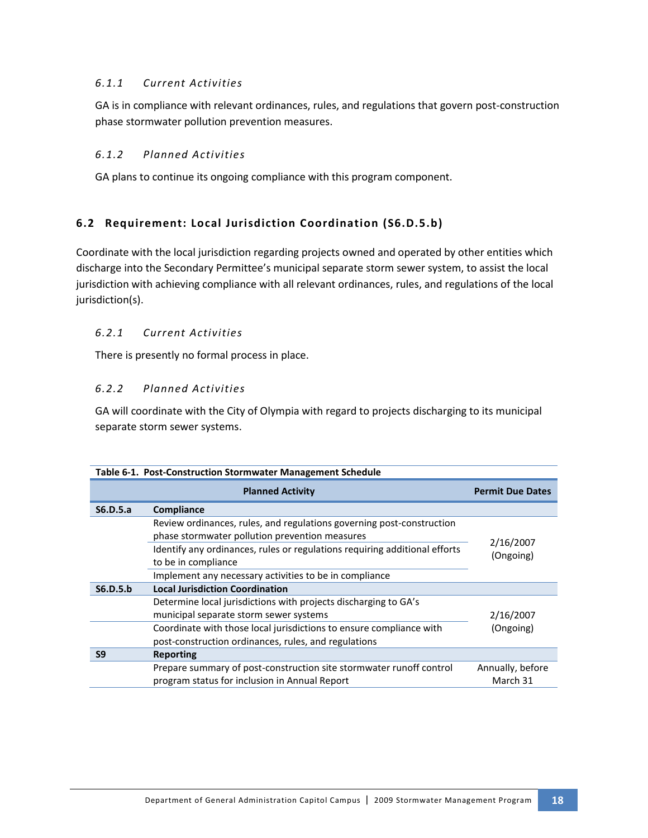### *6.1.1 Current Activities*

GA is in compliance with relevant ordinances, rules, and regulations that govern post-construction phase stormwater pollution prevention measures.

### *6.1.2 Planned Activities*

GA plans to continue its ongoing compliance with this program component.

# **6.2 Requirement: Local Jurisdiction Coordination (S6.D.5.b)**

Coordinate with the local jurisdiction regarding projects owned and operated by other entities which discharge into the Secondary Permittee's municipal separate storm sewer system, to assist the local jurisdiction with achieving compliance with all relevant ordinances, rules, and regulations of the local jurisdiction(s).

### *6.2.1 Current Activities*

There is presently no formal process in place.

### *6.2.2 Planned Activities*

GA will coordinate with the City of Olympia with regard to projects discharging to its municipal separate storm sewer systems.

| Table 6-1. Post-Construction Stormwater Management Schedule |                                                                                                                             |                              |
|-------------------------------------------------------------|-----------------------------------------------------------------------------------------------------------------------------|------------------------------|
|                                                             | <b>Planned Activity</b>                                                                                                     | <b>Permit Due Dates</b>      |
| S6.D.5.a                                                    | Compliance                                                                                                                  |                              |
|                                                             | Review ordinances, rules, and regulations governing post-construction<br>phase stormwater pollution prevention measures     |                              |
|                                                             | Identify any ordinances, rules or regulations requiring additional efforts<br>to be in compliance                           | 2/16/2007<br>(Ongoing)       |
|                                                             | Implement any necessary activities to be in compliance                                                                      |                              |
| S6.D.5.b                                                    | <b>Local Jurisdiction Coordination</b>                                                                                      |                              |
|                                                             | Determine local jurisdictions with projects discharging to GA's<br>municipal separate storm sewer systems                   | 2/16/2007                    |
|                                                             | Coordinate with those local jurisdictions to ensure compliance with<br>post-construction ordinances, rules, and regulations | (Ongoing)                    |
| S <sub>9</sub>                                              | Reporting                                                                                                                   |                              |
|                                                             | Prepare summary of post-construction site stormwater runoff control<br>program status for inclusion in Annual Report        | Annually, before<br>March 31 |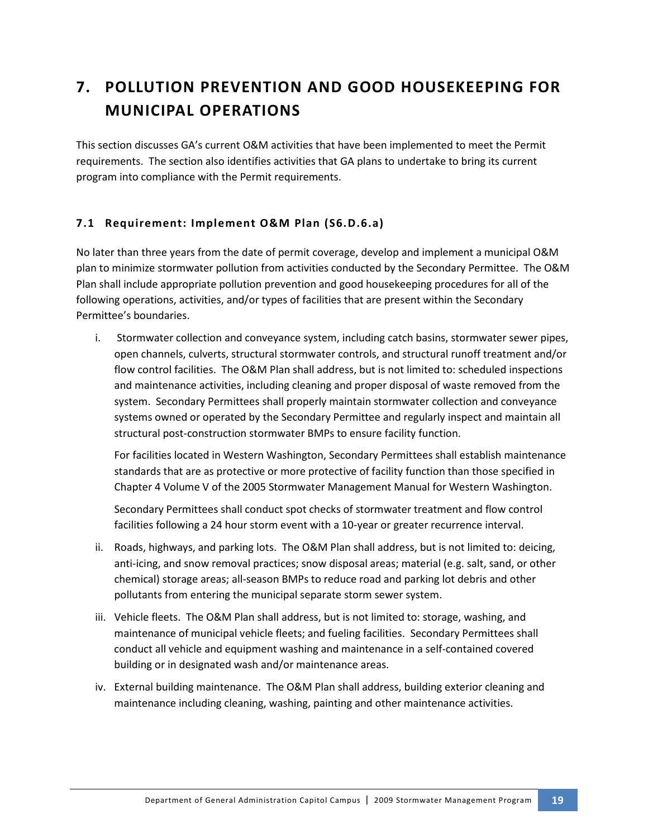# **7. POLLUTION PREVENTION AND GOOD HOUSEKEEPING FOR MUNICIPAL OPERATIONS**

This section discusses GA's current O&M activities that have been implemented to meet the Permit requirements. The section also identifies activities that GA plans to undertake to bring its current program into compliance with the Permit requirements.

# **7.1 Requirement: Implement O&M Plan (S6.D.6.a)**

No later than three years from the date of permit coverage, develop and implement a municipal O&M plan to minimize stormwater pollution from activities conducted by the Secondary Permittee. The O&M Plan shall include appropriate pollution prevention and good housekeeping procedures for all of the following operations, activities, and/or types of facilities that are present within the Secondary Permittee's boundaries.

i. Stormwater collection and conveyance system, including catch basins, stormwater sewer pipes, open channels, culverts, structural stormwater controls, and structural runoff treatment and/or flow control facilities. The O&M Plan shall address, but is not limited to: scheduled inspections and maintenance activities, including cleaning and proper disposal of waste removed from the system. Secondary Permittees shall properly maintain stormwater collection and conveyance systems owned or operated by the Secondary Permittee and regularly inspect and maintain all structural post-construction stormwater BMPs to ensure facility function.

For facilities located in Western Washington, Secondary Permittees shall establish maintenance standards that are as protective or more protective of facility function than those specified in Chapter 4 Volume V of the 2005 Stormwater Management Manual for Western Washington.

Secondary Permittees shall conduct spot checks of stormwater treatment and flow control facilities following a 24 hour storm event with a 10-year or greater recurrence interval.

- ii. Roads, highways, and parking lots. The O&M Plan shall address, but is not limited to: deicing, anti-icing, and snow removal practices; snow disposal areas; material (e.g. salt, sand, or other chemical) storage areas; all-season BMPs to reduce road and parking lot debris and other pollutants from entering the municipal separate storm sewer system.
- iii. Vehicle fleets. The O&M Plan shall address, but is not limited to: storage, washing, and maintenance of municipal vehicle fleets; and fueling facilities. Secondary Permittees shall conduct all vehicle and equipment washing and maintenance in a self-contained covered building or in designated wash and/or maintenance areas.
- iv. External building maintenance. The O&M Plan shall address, building exterior cleaning and maintenance including cleaning, washing, painting and other maintenance activities.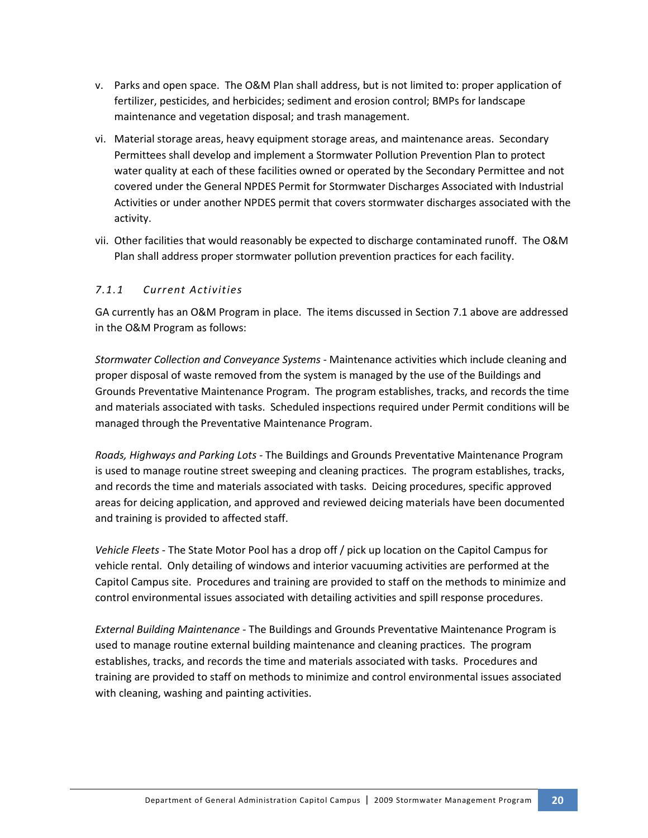- v. Parks and open space. The O&M Plan shall address, but is not limited to: proper application of fertilizer, pesticides, and herbicides; sediment and erosion control; BMPs for landscape maintenance and vegetation disposal; and trash management.
- vi. Material storage areas, heavy equipment storage areas, and maintenance areas. Secondary Permittees shall develop and implement a Stormwater Pollution Prevention Plan to protect water quality at each of these facilities owned or operated by the Secondary Permittee and not covered under the General NPDES Permit for Stormwater Discharges Associated with Industrial Activities or under another NPDES permit that covers stormwater discharges associated with the activity.
- vii. Other facilities that would reasonably be expected to discharge contaminated runoff. The O&M Plan shall address proper stormwater pollution prevention practices for each facility.

### *7.1.1 Current Activities*

GA currently has an O&M Program in place. The items discussed in Section 7.1 above are addressed in the O&M Program as follows:

*Stormwater Collection and Conveyance Systems -* Maintenance activities which include cleaning and proper disposal of waste removed from the system is managed by the use of the Buildings and Grounds Preventative Maintenance Program. The program establishes, tracks, and records the time and materials associated with tasks. Scheduled inspections required under Permit conditions will be managed through the Preventative Maintenance Program.

*Roads, Highways and Parking Lots -* The Buildings and Grounds Preventative Maintenance Program is used to manage routine street sweeping and cleaning practices. The program establishes, tracks, and records the time and materials associated with tasks. Deicing procedures, specific approved areas for deicing application, and approved and reviewed deicing materials have been documented and training is provided to affected staff.

*Vehicle Fleets -* The State Motor Pool has a drop off / pick up location on the Capitol Campus for vehicle rental. Only detailing of windows and interior vacuuming activities are performed at the Capitol Campus site. Procedures and training are provided to staff on the methods to minimize and control environmental issues associated with detailing activities and spill response procedures.

*External Building Maintenance -* The Buildings and Grounds Preventative Maintenance Program is used to manage routine external building maintenance and cleaning practices. The program establishes, tracks, and records the time and materials associated with tasks. Procedures and training are provided to staff on methods to minimize and control environmental issues associated with cleaning, washing and painting activities.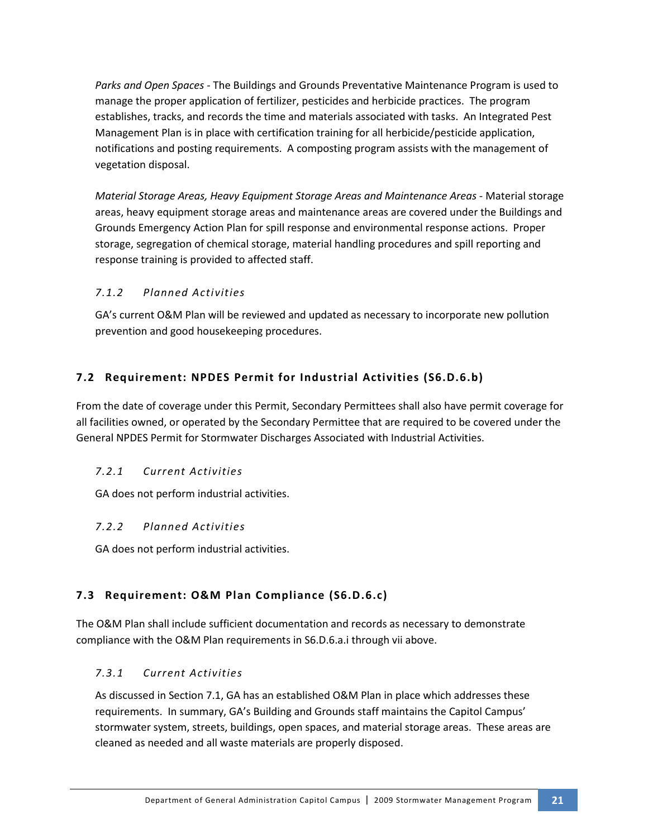*Parks and Open Spaces -* The Buildings and Grounds Preventative Maintenance Program is used to manage the proper application of fertilizer, pesticides and herbicide practices. The program establishes, tracks, and records the time and materials associated with tasks. An Integrated Pest Management Plan is in place with certification training for all herbicide/pesticide application, notifications and posting requirements. A composting program assists with the management of vegetation disposal.

*Material Storage Areas, Heavy Equipment Storage Areas and Maintenance Areas -* Material storage areas, heavy equipment storage areas and maintenance areas are covered under the Buildings and Grounds Emergency Action Plan for spill response and environmental response actions. Proper storage, segregation of chemical storage, material handling procedures and spill reporting and response training is provided to affected staff.

# *7.1.2 Planned Activities*

GA's current O&M Plan will be reviewed and updated as necessary to incorporate new pollution prevention and good housekeeping procedures.

# **7.2 Requirement: NPDES Permit for Industrial Activities (S6.D.6.b)**

From the date of coverage under this Permit, Secondary Permittees shall also have permit coverage for all facilities owned, or operated by the Secondary Permittee that are required to be covered under the General NPDES Permit for Stormwater Discharges Associated with Industrial Activities.

### *7.2.1 Current Activities*

GA does not perform industrial activities.

### *7.2.2 Planned Activities*

GA does not perform industrial activities.

# **7.3 Requirement: O&M Plan Compliance (S6.D.6.c)**

The O&M Plan shall include sufficient documentation and records as necessary to demonstrate compliance with the O&M Plan requirements in S6.D.6.a.i through vii above.

# *7.3.1 Current Activities*

As discussed in Section 7.1, GA has an established O&M Plan in place which addresses these requirements. In summary, GA's Building and Grounds staff maintains the Capitol Campus' stormwater system, streets, buildings, open spaces, and material storage areas. These areas are cleaned as needed and all waste materials are properly disposed.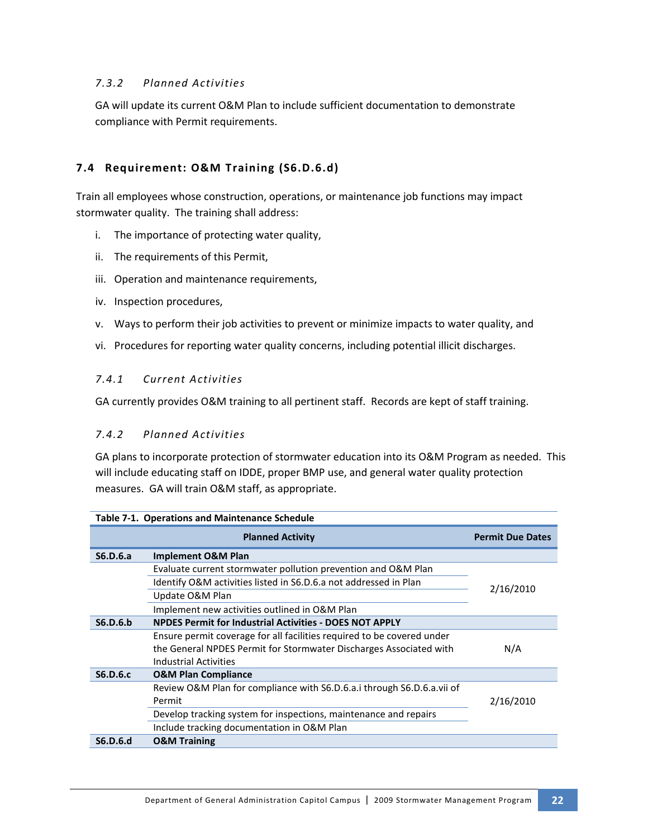### *7.3.2 Planned Activities*

GA will update its current O&M Plan to include sufficient documentation to demonstrate compliance with Permit requirements.

# **7.4 Requirement: O&M Training (S6.D.6.d)**

Train all employees whose construction, operations, or maintenance job functions may impact stormwater quality. The training shall address:

- i. The importance of protecting water quality,
- ii. The requirements of this Permit,
- iii. Operation and maintenance requirements,
- iv. Inspection procedures,
- v. Ways to perform their job activities to prevent or minimize impacts to water quality, and
- vi. Procedures for reporting water quality concerns, including potential illicit discharges.

### *7.4.1 Current Activities*

GA currently provides O&M training to all pertinent staff. Records are kept of staff training.

### *7.4.2 Planned Activities*

GA plans to incorporate protection of stormwater education into its O&M Program as needed. This will include educating staff on IDDE, proper BMP use, and general water quality protection measures. GA will train O&M staff, as appropriate.

| Table 7-1. Operations and Maintenance Schedule |                                                                        |                         |
|------------------------------------------------|------------------------------------------------------------------------|-------------------------|
|                                                | <b>Planned Activity</b>                                                | <b>Permit Due Dates</b> |
| S6.D.6.a                                       | <b>Implement O&amp;M Plan</b>                                          |                         |
|                                                | Evaluate current stormwater pollution prevention and O&M Plan          |                         |
|                                                | Identify O&M activities listed in S6.D.6.a not addressed in Plan       | 2/16/2010               |
|                                                | Update O&M Plan                                                        |                         |
|                                                | Implement new activities outlined in O&M Plan                          |                         |
| S6.D.6.b                                       | <b>NPDES Permit for Industrial Activities - DOES NOT APPLY</b>         |                         |
|                                                | Ensure permit coverage for all facilities required to be covered under |                         |
|                                                | the General NPDES Permit for Stormwater Discharges Associated with     | N/A                     |
|                                                | <b>Industrial Activities</b>                                           |                         |
| <b>S6.D.6.c</b>                                | <b>O&amp;M Plan Compliance</b>                                         |                         |
|                                                | Review O&M Plan for compliance with S6.D.6.a.i through S6.D.6.a.vii of |                         |
|                                                | Permit                                                                 | 2/16/2010               |
|                                                | Develop tracking system for inspections, maintenance and repairs       |                         |
|                                                | Include tracking documentation in O&M Plan                             |                         |
| S6.D.6.d                                       | <b>O&amp;M Training</b>                                                |                         |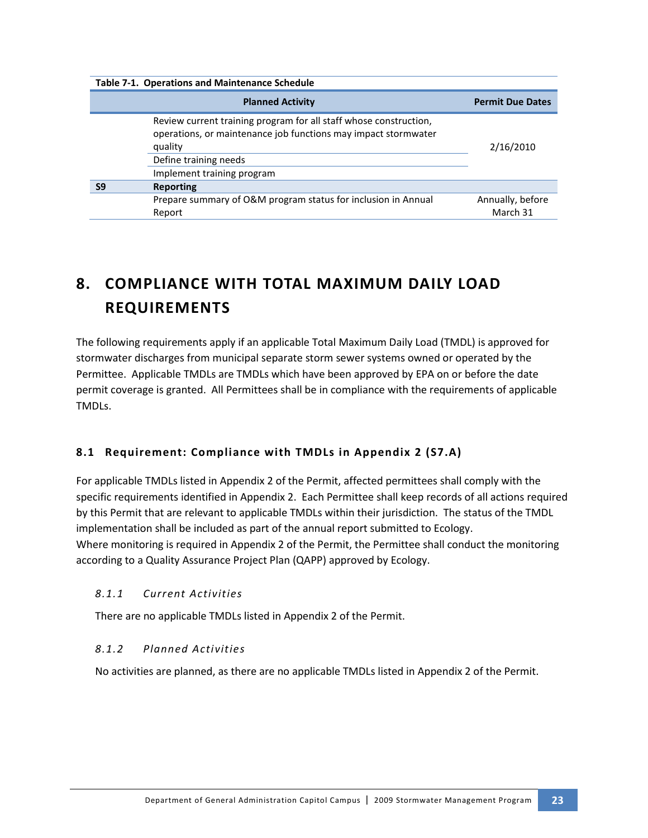| <b>Table 7-1. Operations and Maintenance Schedule</b> |                                                                                                                                                                                                       |                              |
|-------------------------------------------------------|-------------------------------------------------------------------------------------------------------------------------------------------------------------------------------------------------------|------------------------------|
|                                                       | <b>Planned Activity</b>                                                                                                                                                                               | <b>Permit Due Dates</b>      |
|                                                       | Review current training program for all staff whose construction,<br>operations, or maintenance job functions may impact stormwater<br>quality<br>Define training needs<br>Implement training program | 2/16/2010                    |
| S <sub>9</sub>                                        | <b>Reporting</b>                                                                                                                                                                                      |                              |
|                                                       | Prepare summary of O&M program status for inclusion in Annual<br>Report                                                                                                                               | Annually, before<br>March 31 |

# **8. COMPLIANCE WITH TOTAL MAXIMUM DAILY LOAD REQUIREMENTS**

The following requirements apply if an applicable Total Maximum Daily Load (TMDL) is approved for stormwater discharges from municipal separate storm sewer systems owned or operated by the Permittee. Applicable TMDLs are TMDLs which have been approved by EPA on or before the date permit coverage is granted. All Permittees shall be in compliance with the requirements of applicable TMDLs.

# **8.1 Requirement: Compliance with TMDLs in Appendix 2 (S7.A)**

For applicable TMDLs listed in Appendix 2 of the Permit, affected permittees shall comply with the specific requirements identified in Appendix 2. Each Permittee shall keep records of all actions required by this Permit that are relevant to applicable TMDLs within their jurisdiction. The status of the TMDL implementation shall be included as part of the annual report submitted to Ecology. Where monitoring is required in Appendix 2 of the Permit, the Permittee shall conduct the monitoring according to a Quality Assurance Project Plan (QAPP) approved by Ecology.

# *8.1.1 Current Activities*

There are no applicable TMDLs listed in Appendix 2 of the Permit.

# *8.1.2 Planned Activities*

No activities are planned, as there are no applicable TMDLs listed in Appendix 2 of the Permit.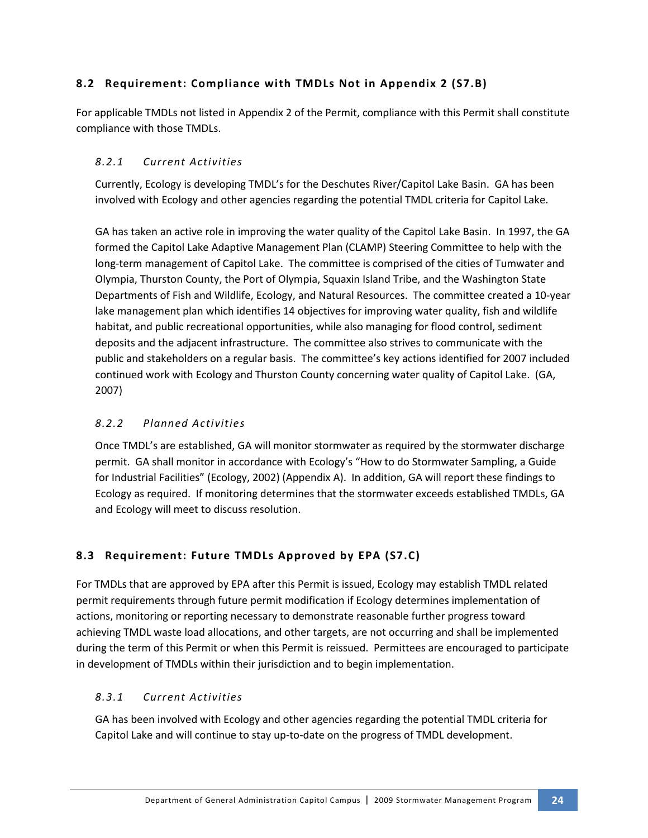# **8.2 Requirement: Compliance with TMDLs Not in Appendix 2 (S7.B)**

For applicable TMDLs not listed in Appendix 2 of the Permit, compliance with this Permit shall constitute compliance with those TMDLs.

# *8.2.1 Current Activities*

Currently, Ecology is developing TMDL's for the Deschutes River/Capitol Lake Basin. GA has been involved with Ecology and other agencies regarding the potential TMDL criteria for Capitol Lake.

GA has taken an active role in improving the water quality of the Capitol Lake Basin. In 1997, the GA formed the Capitol Lake Adaptive Management Plan (CLAMP) Steering Committee to help with the long-term management of Capitol Lake. The committee is comprised of the cities of Tumwater and Olympia, Thurston County, the Port of Olympia, Squaxin Island Tribe, and the Washington State Departments of Fish and Wildlife, Ecology, and Natural Resources. The committee created a 10-year lake management plan which identifies 14 objectives for improving water quality, fish and wildlife habitat, and public recreational opportunities, while also managing for flood control, sediment deposits and the adjacent infrastructure. The committee also strives to communicate with the public and stakeholders on a regular basis. The committee's key actions identified for 2007 included continued work with Ecology and Thurston County concerning water quality of Capitol Lake. (GA, 2007)

# *8.2.2 Planned Activities*

Once TMDL's are established, GA will monitor stormwater as required by the stormwater discharge permit. GA shall monitor in accordance with Ecology's "How to do Stormwater Sampling, a Guide for Industrial Facilities" (Ecology, 2002) (Appendix A). In addition, GA will report these findings to Ecology as required. If monitoring determines that the stormwater exceeds established TMDLs, GA and Ecology will meet to discuss resolution.

# **8.3 Requirement: Future TMDLs Approved by EPA (S7.C)**

For TMDLs that are approved by EPA after this Permit is issued, Ecology may establish TMDL related permit requirements through future permit modification if Ecology determines implementation of actions, monitoring or reporting necessary to demonstrate reasonable further progress toward achieving TMDL waste load allocations, and other targets, are not occurring and shall be implemented during the term of this Permit or when this Permit is reissued. Permittees are encouraged to participate in development of TMDLs within their jurisdiction and to begin implementation.

# *8.3.1 Current Activities*

GA has been involved with Ecology and other agencies regarding the potential TMDL criteria for Capitol Lake and will continue to stay up-to-date on the progress of TMDL development.